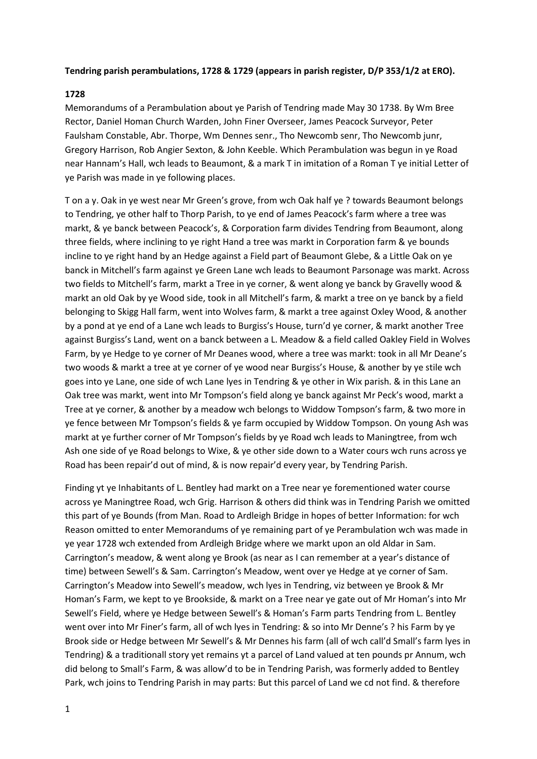## **Tendring parish perambulations, 1728 & 1729 (appears in parish register, D/P 353/1/2 at ERO).**

## **1728**

Memorandums of a Perambulation about ye Parish of Tendring made May 30 1738. By Wm Bree Rector, Daniel Homan Church Warden, John Finer Overseer, James Peacock Surveyor, Peter Faulsham Constable, Abr. Thorpe, Wm Dennes senr., Tho Newcomb senr, Tho Newcomb junr, Gregory Harrison, Rob Angier Sexton, & John Keeble. Which Perambulation was begun in ye Road near Hannam's Hall, wch leads to Beaumont, & a mark T in imitation of a Roman T ye initial Letter of ye Parish was made in ye following places.

T on a y. Oak in ye west near Mr Green's grove, from wch Oak half ye ? towards Beaumont belongs to Tendring, ye other half to Thorp Parish, to ye end of James Peacock's farm where a tree was markt, & ye banck between Peacock's, & Corporation farm divides Tendring from Beaumont, along three fields, where inclining to ye right Hand a tree was markt in Corporation farm & ye bounds incline to ye right hand by an Hedge against a Field part of Beaumont Glebe, & a Little Oak on ye banck in Mitchell's farm against ye Green Lane wch leads to Beaumont Parsonage was markt. Across two fields to Mitchell's farm, markt a Tree in ye corner, & went along ye banck by Gravelly wood & markt an old Oak by ye Wood side, took in all Mitchell's farm, & markt a tree on ye banck by a field belonging to Skigg Hall farm, went into Wolves farm, & markt a tree against Oxley Wood, & another by a pond at ye end of a Lane wch leads to Burgiss's House, turn'd ye corner, & markt another Tree against Burgiss's Land, went on a banck between a L. Meadow & a field called Oakley Field in Wolves Farm, by ye Hedge to ye corner of Mr Deanes wood, where a tree was markt: took in all Mr Deane's two woods & markt a tree at ye corner of ye wood near Burgiss's House, & another by ye stile wch goes into ye Lane, one side of wch Lane lyes in Tendring & ye other in Wix parish. & in this Lane an Oak tree was markt, went into Mr Tompson's field along ye banck against Mr Peck's wood, markt a Tree at ye corner, & another by a meadow wch belongs to Widdow Tompson's farm, & two more in ye fence between Mr Tompson's fields & ye farm occupied by Widdow Tompson. On young Ash was markt at ye further corner of Mr Tompson's fields by ye Road wch leads to Maningtree, from wch Ash one side of ye Road belongs to Wixe, & ye other side down to a Water cours wch runs across ye Road has been repair'd out of mind, & is now repair'd every year, by Tendring Parish.

Finding yt ye Inhabitants of L. Bentley had markt on a Tree near ye forementioned water course across ye Maningtree Road, wch Grig. Harrison & others did think was in Tendring Parish we omitted this part of ye Bounds (from Man. Road to Ardleigh Bridge in hopes of better Information: for wch Reason omitted to enter Memorandums of ye remaining part of ye Perambulation wch was made in ye year 1728 wch extended from Ardleigh Bridge where we markt upon an old Aldar in Sam. Carrington's meadow, & went along ye Brook (as near as I can remember at a year's distance of time) between Sewell's & Sam. Carrington's Meadow, went over ye Hedge at ye corner of Sam. Carrington's Meadow into Sewell's meadow, wch lyes in Tendring, viz between ye Brook & Mr Homan's Farm, we kept to ye Brookside, & markt on a Tree near ye gate out of Mr Homan's into Mr Sewell's Field, where ye Hedge between Sewell's & Homan's Farm parts Tendring from L. Bentley went over into Mr Finer's farm, all of wch lyes in Tendring: & so into Mr Denne's ? his Farm by ye Brook side or Hedge between Mr Sewell's & Mr Dennes his farm (all of wch call'd Small's farm lyes in Tendring) & a traditionall story yet remains yt a parcel of Land valued at ten pounds pr Annum, wch did belong to Small's Farm, & was allow'd to be in Tendring Parish, was formerly added to Bentley Park, wch joins to Tendring Parish in may parts: But this parcel of Land we cd not find. & therefore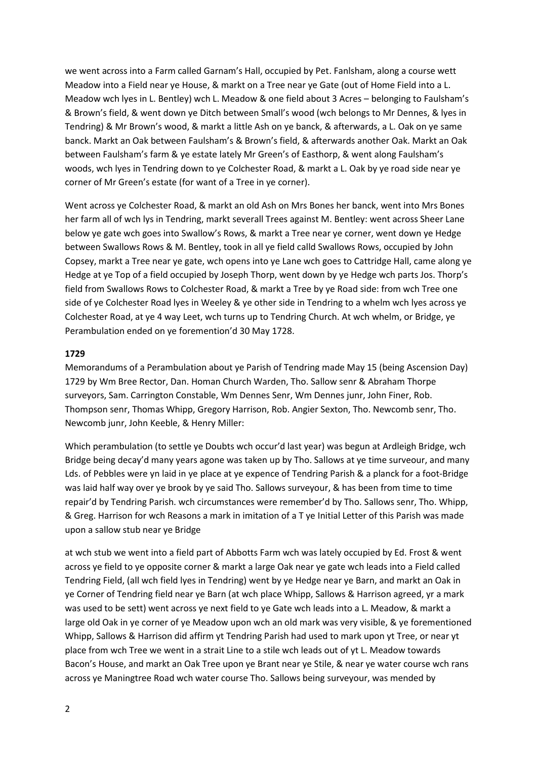we went across into a Farm called Garnam's Hall, occupied by Pet. Fanlsham, along a course wett Meadow into a Field near ye House, & markt on a Tree near ye Gate (out of Home Field into a L. Meadow wch lyes in L. Bentley) wch L. Meadow & one field about 3 Acres – belonging to Faulsham's & Brown's field, & went down ye Ditch between Small's wood (wch belongs to Mr Dennes, & lyes in Tendring) & Mr Brown's wood, & markt a little Ash on ye banck, & afterwards, a L. Oak on ye same banck. Markt an Oak between Faulsham's & Brown's field, & afterwards another Oak. Markt an Oak between Faulsham's farm & ye estate lately Mr Green's of Easthorp, & went along Faulsham's woods, wch lyes in Tendring down to ye Colchester Road, & markt a L. Oak by ye road side near ye corner of Mr Green's estate (for want of a Tree in ye corner).

Went across ye Colchester Road, & markt an old Ash on Mrs Bones her banck, went into Mrs Bones her farm all of wch lys in Tendring, markt severall Trees against M. Bentley: went across Sheer Lane below ye gate wch goes into Swallow's Rows, & markt a Tree near ye corner, went down ye Hedge between Swallows Rows & M. Bentley, took in all ye field calld Swallows Rows, occupied by John Copsey, markt a Tree near ye gate, wch opens into ye Lane wch goes to Cattridge Hall, came along ye Hedge at ye Top of a field occupied by Joseph Thorp, went down by ye Hedge wch parts Jos. Thorp's field from Swallows Rows to Colchester Road, & markt a Tree by ye Road side: from wch Tree one side of ye Colchester Road lyes in Weeley & ye other side in Tendring to a whelm wch lyes across ye Colchester Road, at ye 4 way Leet, wch turns up to Tendring Church. At wch whelm, or Bridge, ye Perambulation ended on ye foremention'd 30 May 1728.

## **1729**

Memorandums of a Perambulation about ye Parish of Tendring made May 15 (being Ascension Day) 1729 by Wm Bree Rector, Dan. Homan Church Warden, Tho. Sallow senr & Abraham Thorpe surveyors, Sam. Carrington Constable, Wm Dennes Senr, Wm Dennes junr, John Finer, Rob. Thompson senr, Thomas Whipp, Gregory Harrison, Rob. Angier Sexton, Tho. Newcomb senr, Tho. Newcomb junr, John Keeble, & Henry Miller:

Which perambulation (to settle ye Doubts wch occur'd last year) was begun at Ardleigh Bridge, wch Bridge being decay'd many years agone was taken up by Tho. Sallows at ye time surveour, and many Lds. of Pebbles were yn laid in ye place at ye expence of Tendring Parish & a planck for a foot-Bridge was laid half way over ye brook by ye said Tho. Sallows surveyour, & has been from time to time repair'd by Tendring Parish. wch circumstances were remember'd by Tho. Sallows senr, Tho. Whipp, & Greg. Harrison for wch Reasons a mark in imitation of a T ye Initial Letter of this Parish was made upon a sallow stub near ye Bridge

at wch stub we went into a field part of Abbotts Farm wch was lately occupied by Ed. Frost & went across ye field to ye opposite corner & markt a large Oak near ye gate wch leads into a Field called Tendring Field, (all wch field lyes in Tendring) went by ye Hedge near ye Barn, and markt an Oak in ye Corner of Tendring field near ye Barn (at wch place Whipp, Sallows & Harrison agreed, yr a mark was used to be sett) went across ye next field to ye Gate wch leads into a L. Meadow, & markt a large old Oak in ye corner of ye Meadow upon wch an old mark was very visible, & ye forementioned Whipp, Sallows & Harrison did affirm yt Tendring Parish had used to mark upon yt Tree, or near yt place from wch Tree we went in a strait Line to a stile wch leads out of yt L. Meadow towards Bacon's House, and markt an Oak Tree upon ye Brant near ye Stile, & near ye water course wch rans across ye Maningtree Road wch water course Tho. Sallows being surveyour, was mended by